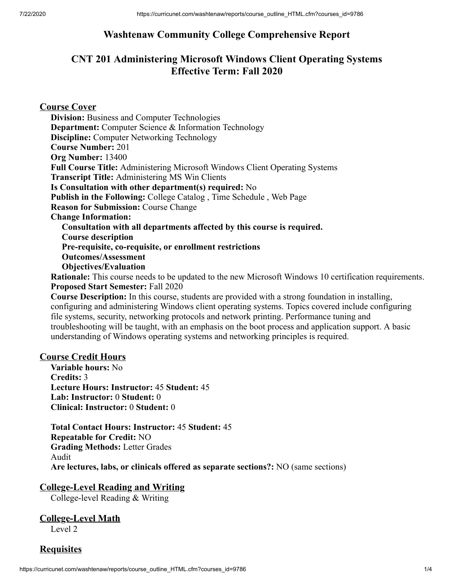## **Washtenaw Community College Comprehensive Report**

## **CNT 201 Administering Microsoft Windows Client Operating Systems Effective Term: Fall 2020**

**Course Cover Division:** Business and Computer Technologies **Department:** Computer Science & Information Technology **Discipline:** Computer Networking Technology **Course Number:** 201 **Org Number:** 13400 **Full Course Title:** Administering Microsoft Windows Client Operating Systems **Transcript Title:** Administering MS Win Clients **Is Consultation with other department(s) required:** No **Publish in the Following:** College Catalog , Time Schedule , Web Page **Reason for Submission:** Course Change **Change Information: Consultation with all departments affected by this course is required. Course description Pre-requisite, co-requisite, or enrollment restrictions Outcomes/Assessment Objectives/Evaluation Rationale:** This course needs to be updated to the new Microsoft Windows 10 certification requirements.

**Proposed Start Semester:** Fall 2020 **Course Description:** In this course, students are provided with a strong foundation in installing, configuring and administering Windows client operating systems. Topics covered include configuring file systems, security, networking protocols and network printing. Performance tuning and troubleshooting will be taught, with an emphasis on the boot process and application support. A basic understanding of Windows operating systems and networking principles is required.

#### **Course Credit Hours**

**Variable hours:** No **Credits:** 3 **Lecture Hours: Instructor:** 45 **Student:** 45 **Lab: Instructor:** 0 **Student:** 0 **Clinical: Instructor:** 0 **Student:** 0

**Total Contact Hours: Instructor:** 45 **Student:** 45 **Repeatable for Credit:** NO **Grading Methods:** Letter Grades Audit **Are lectures, labs, or clinicals offered as separate sections?:** NO (same sections)

#### **College-Level Reading and Writing**

College-level Reading & Writing

# **College-Level Math**

Level 2

#### **Requisites**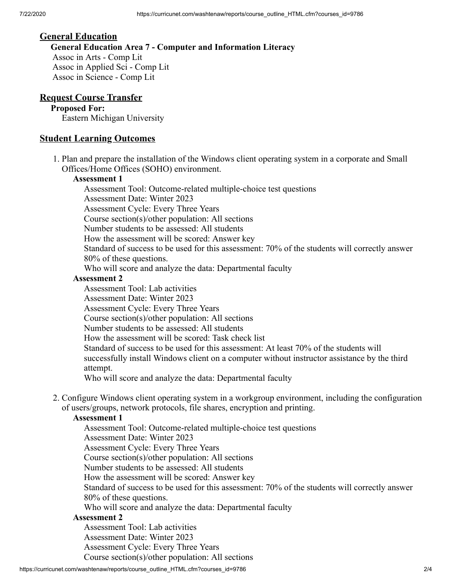#### **General Education**

**General Education Area 7 - Computer and Information Literacy** Assoc in Arts - Comp Lit Assoc in Applied Sci - Comp Lit Assoc in Science - Comp Lit

#### **Request Course Transfer**

#### **Proposed For:**

Eastern Michigan University

#### **Student Learning Outcomes**

1. Plan and prepare the installation of the Windows client operating system in a corporate and Small Offices/Home Offices (SOHO) environment.

#### **Assessment 1**

Assessment Tool: Outcome-related multiple-choice test questions Assessment Date: Winter 2023 Assessment Cycle: Every Three Years Course section(s)/other population: All sections Number students to be assessed: All students How the assessment will be scored: Answer key Standard of success to be used for this assessment: 70% of the students will correctly answer 80% of these questions. Who will score and analyze the data: Departmental faculty

#### **Assessment 2**

Assessment Tool: Lab activities Assessment Date: Winter 2023 Assessment Cycle: Every Three Years Course section(s)/other population: All sections Number students to be assessed: All students How the assessment will be scored: Task check list Standard of success to be used for this assessment: At least 70% of the students will successfully install Windows client on a computer without instructor assistance by the third attempt. Who will score and analyze the data: Departmental faculty

2. Configure Windows client operating system in a workgroup environment, including the configuration of users/groups, network protocols, file shares, encryption and printing.

#### **Assessment 1**

Assessment Tool: Outcome-related multiple-choice test questions Assessment Date: Winter 2023 Assessment Cycle: Every Three Years Course section(s)/other population: All sections Number students to be assessed: All students How the assessment will be scored: Answer key Standard of success to be used for this assessment: 70% of the students will correctly answer 80% of these questions. Who will score and analyze the data: Departmental faculty **Assessment 2** Assessment Tool: Lab activities Assessment Date: Winter 2023

Assessment Cycle: Every Three Years Course section(s)/other population: All sections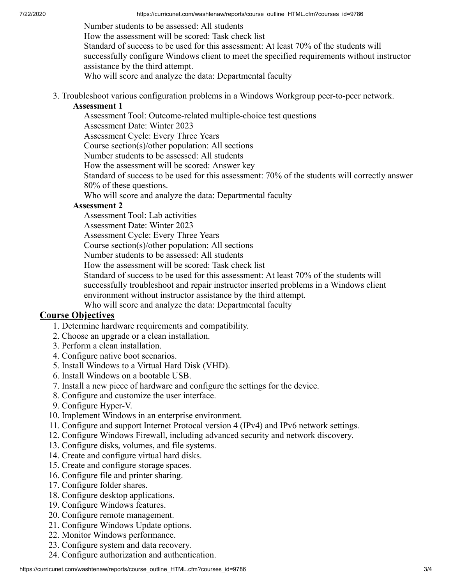Number students to be assessed: All students How the assessment will be scored: Task check list Standard of success to be used for this assessment: At least 70% of the students will successfully configure Windows client to meet the specified requirements without instructor assistance by the third attempt. Who will score and analyze the data: Departmental faculty

3. Troubleshoot various configuration problems in a Windows Workgroup peer-to-peer network.

#### **Assessment 1**

Assessment Tool: Outcome-related multiple-choice test questions

Assessment Date: Winter 2023

Assessment Cycle: Every Three Years

Course section(s)/other population: All sections

Number students to be assessed: All students

How the assessment will be scored: Answer key

Standard of success to be used for this assessment: 70% of the students will correctly answer 80% of these questions.

Who will score and analyze the data: Departmental faculty

#### **Assessment 2**

Assessment Tool: Lab activities

Assessment Date: Winter 2023

Assessment Cycle: Every Three Years

Course section(s)/other population: All sections

Number students to be assessed: All students

How the assessment will be scored: Task check list

Standard of success to be used for this assessment: At least 70% of the students will successfully troubleshoot and repair instructor inserted problems in a Windows client environment without instructor assistance by the third attempt.

Who will score and analyze the data: Departmental faculty

#### **Course Objectives**

- 1. Determine hardware requirements and compatibility.
- 2. Choose an upgrade or a clean installation.
- 3. Perform a clean installation.
- 4. Configure native boot scenarios.
- 5. Install Windows to a Virtual Hard Disk (VHD).
- 6. Install Windows on a bootable USB.
- 7. Install a new piece of hardware and configure the settings for the device.
- 8. Configure and customize the user interface.
- 9. Configure Hyper-V.
- 10. Implement Windows in an enterprise environment.
- 11. Configure and support Internet Protocal version 4 (IPv4) and IPv6 network settings.
- 12. Configure Windows Firewall, including advanced security and network discovery.
- 13. Configure disks, volumes, and file systems.
- 14. Create and configure virtual hard disks.
- 15. Create and configure storage spaces.
- 16. Configure file and printer sharing.
- 17. Configure folder shares.
- 18. Configure desktop applications.
- 19. Configure Windows features.
- 20. Configure remote management.
- 21. Configure Windows Update options.
- 22. Monitor Windows performance.
- 23. Configure system and data recovery.
- 24. Configure authorization and authentication.